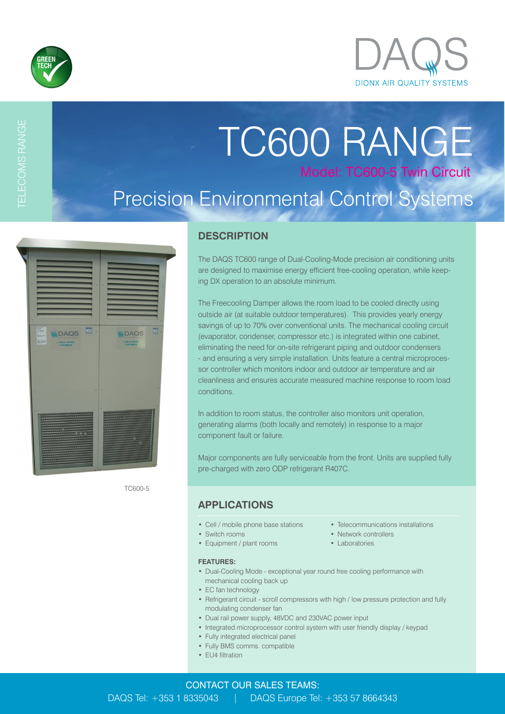

TELECOMS RANGE

# TC600 RANGE Model: TC600-5 Twin Circuit Precision Environmental Control Systems

| <b>TABAN</b><br>$\mathbf{X}$<br><b>MOAGH</b><br><b>WIDAQS</b><br>EZUSUE<br><b>RS260</b><br>T: +353 (0) 1 833 5043<br>E Mellengenry                                                                 | $\mathbf{v}$ .<br><b>WIDAQS</b><br>1: +253 (2) 1 833 5041<br><b>C. Mail deputy</b>                                                                                 |
|----------------------------------------------------------------------------------------------------------------------------------------------------------------------------------------------------|--------------------------------------------------------------------------------------------------------------------------------------------------------------------|
| ององจังหวัดนั้นเมื่อมันมันมันมันมันมันที่ เป็นมันมันมันมันมันมันมันมันมันมัน<br>codos con escapareces es estableces estableces<br>,,,,,,,,,,,,,,,,,,,,,,,,,,,,,,,,<br>,,,,,,,,,,,,,,,,,,,,,,,,,,,, |                                                                                                                                                                    |
| alalalalalalalalalalalalalalala<br>avandranskanskanskanska<br>10000000000000000000000<br><u> Alban a shekara ta 19</u>                                                                             | <b>The Contract of Second Second Second Second Second Second Second Second Second Second Second Second Second Second</b><br><u> 1944 - Princes American Ingels</u> |

TC600-5

### **DESCRIPTION**

The DAQS TC600 range of Dual-Cooling-Mode precision air conditioning units are designed to maximise energy efficient free-cooling operation, while keeping DX operation to an absolute minimum.

The Freecooling Damper allows the room load to be cooled directly using outside air (at suitable outdoor temperatures). This provides yearly energy savings of up to 70% over conventional units. The mechanical cooling circuit (evaporator, condenser, compressor etc.) is integrated within one cabinet, eliminating the need for on-site refrigerant piping and outdoor condensers - and ensuring a very simple installation. Units feature a central microprocessor controller which monitors indoor and outdoor air temperature and air cleanliness and ensures accurate measured machine response to room load conditions.

In addition to room status, the controller also monitors unit operation, generating alarms (both locally and remotely) in response to a major component fault or failure.

Major components are fully serviceable from the front. Units are supplied fully pre-charged with zero ODP refrigerant R407C.

### **APPLICATIONS**

- Cell / mobile phone base stations Telecommunications installations
- Switch rooms Network controllers
- Equipment / plant rooms Laboratories
- **FEATURES:**
- Dual-Cooling Mode exceptional year round free cooling performance with mechanical cooling back up
- EC fan technology
- Refrigerant circuit scroll compressors with high / low pressure protection and fully modulating condenser fan
- Dual rail power supply, 48VDC and 230VAC power input
- Integrated microprocessor control system with user friendly display / keypad
- Fully integrated electrical panel
- Fully BMS comms. compatible
- EU4 filtration
- 
- 
-